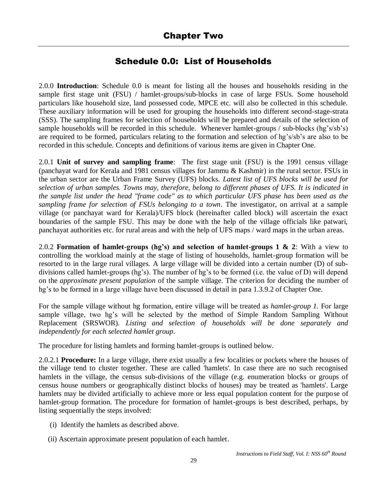# Schedule 0.0: List of Households

2.0.0 **Introduction**: Schedule 0.0 is meant for listing all the houses and households residing in the sample first stage unit (FSU) / hamlet-groups/sub-blocks in case of large FSUs. Some household particulars like household size, land possessed code, MPCE etc. will also be collected in this schedule. These auxiliary information will be used for grouping the households into different second-stage-strata (SSS). The sampling frames for selection of households will be prepared and details of the selection of sample households will be recorded in this schedule. Whenever hamlet-groups / sub-blocks (hg's/sb's) are required to be formed, particulars relating to the formation and selection of hg's/sb's are also to be recorded in this schedule. Concepts and definitions of various items are given in Chapter One.

2.0.1 **Unit of survey and sampling frame**: The first stage unit (FSU) is the 1991 census village (panchayat ward for Kerala and 1981 census villages for Jammu & Kashmir) in the rural sector. FSUs in the urban sector are the Urban Frame Survey (UFS) blocks. *Latest list of UFS blocks will be used for selection of urban samples. Towns may, therefore, belong to different phases of UFS. It is indicated in the sample list under the head "frame code" as to which particular UFS phase has been used as the sampling frame for selection of FSUs belonging to a town*. The investigator, on arrival at a sample village (or panchayat ward for Kerala)/UFS block (hereinafter called block) will ascertain the exact boundaries of the sample FSU. This may be done with the help of the village officials like patwari, panchayat authorities etc. for rural areas and with the help of UFS maps / ward maps in the urban areas.

2.0.2 **Formation of hamlet-groups (hg's) and selection of hamlet-groups 1 & 2**: With a view to controlling the workload mainly at the stage of listing of households, hamlet-group formation will be resorted to in the large rural villages. A large village will be divided into a certain number (D) of subdivisions called hamlet-groups (hg's). The number of hg's to be formed (i.e. the value of D) will depend on the *approximate present population* of the sample village. The criterion for deciding the number of hg's to be formed in a large village have been discussed in detail in para 1.3.9.2 of Chapter One.

For the sample village without hg formation, entire village will be treated as *hamlet-group 1.* For large sample village, two hg's will be selected by the method of Simple Random Sampling Without Replacement (SRSWOR). *Listing and selection of households will be done separately and independently for each selected hamlet group*.

The procedure for listing hamlets and forming hamlet-groups is outlined below.

2.0.2.1 **Procedure:** In a large village, there exist usually a few localities or pockets where the houses of the village tend to cluster together. These are called 'hamlets'. In case there are no such recognised hamlets in the village, the census sub-divisions of the village (e.g. enumeration blocks or groups of census house numbers or geographically distinct blocks of houses) may be treated as 'hamlets'. Large hamlets may be divided artificially to achieve more or less equal population content for the purpose of hamlet-group formation. The procedure for formation of hamlet-groups is best described, perhaps, by listing sequentially the steps involved:

- (i) Identify the hamlets as described above.
- (ii) Ascertain approximate present population of each hamlet.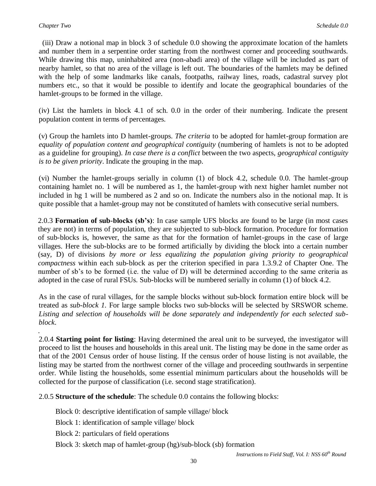.

 (iii) Draw a notional map in block 3 of schedule 0.0 showing the approximate location of the hamlets and number them in a serpentine order starting from the northwest corner and proceeding southwards. While drawing this map, uninhabited area (non-abadi area) of the village will be included as part of nearby hamlet, so that no area of the village is left out. The boundaries of the hamlets may be defined with the help of some landmarks like canals, footpaths, railway lines, roads, cadastral survey plot numbers etc., so that it would be possible to identify and locate the geographical boundaries of the hamlet-groups to be formed in the village.

(iv) List the hamlets in block 4.1 of sch. 0.0 in the order of their numbering. Indicate the present population content in terms of percentages.

(v) Group the hamlets into D hamlet-groups. *The criteria* to be adopted for hamlet-group formation are *equality of population content and geographical contiguity* (numbering of hamlets is not to be adopted as a guideline for grouping). *In case there is a conflict* between the two aspects, *geographical contiguity is to be given priority*. Indicate the grouping in the map.

(vi) Number the hamlet-groups serially in column (1) of block 4.2, schedule 0.0. The hamlet-group containing hamlet no. 1 will be numbered as 1, the hamlet-group with next higher hamlet number not included in hg 1 will be numbered as 2 and so on. Indicate the numbers also in the notional map. It is quite possible that a hamlet-group may not be constituted of hamlets with consecutive serial numbers.

2.0.3 **Formation of sub-blocks (sb's)**: In case sample UFS blocks are found to be large (in most cases they are not) in terms of population, they are subjected to sub-block formation. Procedure for formation of sub-blocks is, however, the same as that for the formation of hamlet-groups in the case of large villages. Here the sub-blocks are to be formed artificially by dividing the block into a certain number (say, D) of divisions *by more or less equalizing the population giving priority to geographical compactness* within each sub-block as per the criterion specified in para 1.3.9.2 of Chapter One. The number of sb's to be formed (i.e. the value of D) will be determined according to the same criteria as adopted in the case of rural FSUs. Sub-blocks will be numbered serially in column (1) of block 4.2.

As in the case of rural villages, for the sample blocks without sub-block formation entire block will be treated as *sub-block 1.* For large sample blocks two sub-blocks will be selected by SRSWOR scheme. *Listing and selection of households will be done separately and independently for each selected subblock*.

2.0.4 **Starting point for listing**: Having determined the areal unit to be surveyed, the investigator will proceed to list the houses and households in this areal unit. The listing may be done in the same order as that of the 2001 Census order of house listing. If the census order of house listing is not available, the listing may be started from the northwest corner of the village and proceeding southwards in serpentine order. While listing the households, some essential minimum particulars about the households will be collected for the purpose of classification (i.e. second stage stratification).

2.0.5 **Structure of the schedule**: The schedule 0.0 contains the following blocks:

Block 0: descriptive identification of sample village/ block

Block 1: identification of sample village/ block

Block 2: particulars of field operations

Block 3: sketch map of hamlet-group (hg)/sub-block (sb) formation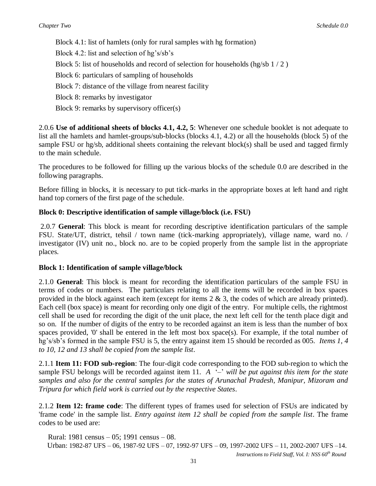Block 4.1: list of hamlets (only for rural samples with hg formation) Block 4.2: list and selection of hg's/sb's Block 5: list of households and record of selection for households (hg/sb  $1/2$ ) Block 6: particulars of sampling of households Block 7: distance of the village from nearest facility Block 8: remarks by investigator Block 9: remarks by supervisory officer(s)

2.0.6 **Use of additional sheets of blocks 4.1, 4.2, 5**: Whenever one schedule booklet is not adequate to list all the hamlets and hamlet-groups/sub-blocks (blocks 4.1, 4.2) or all the households (block 5) of the sample FSU or hg/sb, additional sheets containing the relevant block(s) shall be used and tagged firmly to the main schedule.

The procedures to be followed for filling up the various blocks of the schedule 0.0 are described in the following paragraphs.

Before filling in blocks, it is necessary to put tick-marks in the appropriate boxes at left hand and right hand top corners of the first page of the schedule.

### **Block 0: Descriptive identification of sample village/block (i.e. FSU)**

2.0.7 **General**: This block is meant for recording descriptive identification particulars of the sample FSU. State/UT, district, tehsil / town name (tick-marking appropriately), village name, ward no. / investigator (IV) unit no., block no. are to be copied properly from the sample list in the appropriate places*.* 

### **Block 1: Identification of sample village/block**

2.1.0 **General**: This block is meant for recording the identification particulars of the sample FSU in terms of codes or numbers. The particulars relating to all the items will be recorded in box spaces provided in the block against each item (except for items  $2 \& 3$ , the codes of which are already printed). Each cell (box space) is meant for recording only one digit of the entry. For multiple cells, the rightmost cell shall be used for recording the digit of the unit place, the next left cell for the tenth place digit and so on. If the number of digits of the entry to be recorded against an item is less than the number of box spaces provided, '0' shall be entered in the left most box space(s). For example, if the total number of hg's/sb's formed in the sample FSU is 5, the entry against item 15 should be recorded as 005. *Items 1, 4 to 10, 12 and 13 shall be copied from the sample list*.

2.1.1 **Item 11: FOD sub-region**: The four-digit code corresponding to the FOD sub-region to which the sample FSU belongs will be recorded against item 11. *A* '–' *will be put against this item for the state samples and also for the central samples for the states of Arunachal Pradesh, Manipur, Mizoram and Tripura for which field work is carried out by the respective States*.

2.1.2 **Item 12: frame code**: The different types of frames used for selection of FSUs are indicated by 'frame code' in the sample list. *Entry against item 12 shall be copied from the sample list*. The frame codes to be used are:

 Rural: 1981 census – 05; 1991 census – 08. Urban: 1982-87 UFS – 06, 1987-92 UFS – 07, 1992-97 UFS – 09, 1997-2002 UFS – 11, 2002-2007 UFS –14.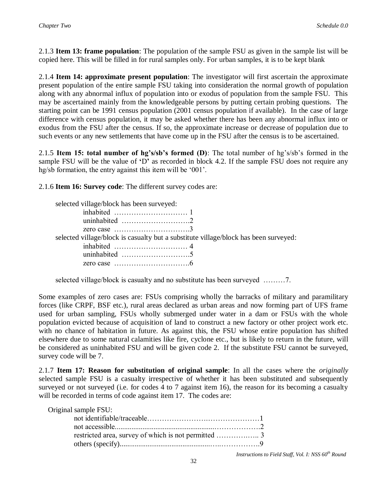2.1.3 **Item 13: frame population**: The population of the sample FSU as given in the sample list will be copied here. This will be filled in for rural samples only. For urban samples, it is to be kept blank

2.1.4 **Item 14: approximate present population**: The investigator will first ascertain the approximate present population of the entire sample FSU taking into consideration the normal growth of population along with any abnormal influx of population into or exodus of population from the sample FSU. This may be ascertained mainly from the knowledgeable persons by putting certain probing questions. The starting point can be 1991 census population (2001 census population if available). In the case of large difference with census population, it may be asked whether there has been any abnormal influx into or exodus from the FSU after the census. If so, the approximate increase or decrease of population due to such events or any new settlements that have come up in the FSU after the census is to be ascertained.

2.1.5 **Item 15: total number of hg's/sb's formed (D)**: The total number of hg's/sb's formed in the sample FSU will be the value of **'**D**'** as recorded in block 4.2. If the sample FSU does not require any hg/sb formation, the entry against this item will be '001'.

2.1.6 **Item 16: Survey code**: The different survey codes are:

| selected village/block has been surveyed:                                            |  |
|--------------------------------------------------------------------------------------|--|
| inhabited $\dots\dots\dots\dots\dots\dots\dots\dots$                                 |  |
| uninhabited $\dots\dots\dots\dots\dots\dots\dots2$                                   |  |
| zero case $\dots \dots \dots \dots \dots \dots \dots \dots$                          |  |
| selected village/block is casualty but a substitute village/block has been surveyed: |  |
| inhabited $\dots\dots\dots\dots\dots\dots\dots\dots$                                 |  |
|                                                                                      |  |
|                                                                                      |  |
|                                                                                      |  |

selected village/block is casualty and no substitute has been surveyed ………7.

Some examples of zero cases are: FSUs comprising wholly the barracks of military and paramilitary forces (like CRPF, BSF etc.), rural areas declared as urban areas and now forming part of UFS frame used for urban sampling, FSUs wholly submerged under water in a dam or FSUs with the whole population evicted because of acquisition of land to construct a new factory or other project work etc. with no chance of habitation in future. As against this, the FSU whose entire population has shifted elsewhere due to some natural calamities like fire, cyclone etc., but is likely to return in the future, will be considered as uninhabited FSU and will be given code 2. If the substitute FSU cannot be surveyed, survey code will be 7.

2.1.7 **Item 17: Reason for substitution of original sample**: In all the cases where the *originally* selected sample FSU is a casualty irrespective of whether it has been substituted and subsequently surveyed or not surveyed (i.e. for codes 4 to 7 against item 16), the reason for its becoming a casualty will be recorded in terms of code against item 17. The codes are:

| Original sample FSU: |  |
|----------------------|--|
|                      |  |
|                      |  |
|                      |  |
|                      |  |
|                      |  |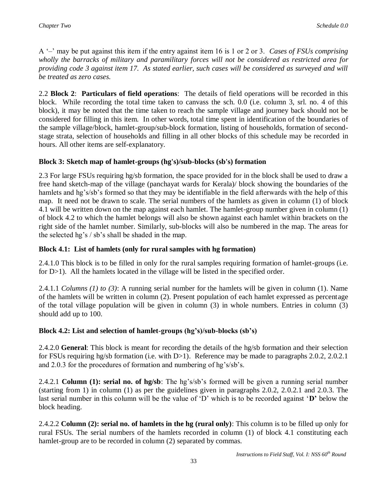A '–' may be put against this item if the entry against item 16 is 1 or 2 or 3. *Cases of FSUs comprising wholly the barracks of military and paramilitary forces will not be considered as restricted area for providing code 3 against item 17. As stated earlier, such cases will be considered as surveyed and will be treated as zero cases.*

2.2 **Block 2**: **Particulars of field operations**: The details of field operations will be recorded in this block. While recording the total time taken to canvass the sch. 0.0 (i.e. column 3, srl. no. 4 of this block), it may be noted that the time taken to reach the sample village and journey back should not be considered for filling in this item. In other words, total time spent in identification of the boundaries of the sample village/block, hamlet-group/sub-block formation, listing of households, formation of secondstage strata, selection of households and filling in all other blocks of this schedule may be recorded in hours. All other items are self-explanatory.

### **Block 3: Sketch map of hamlet-groups (hg's)/sub-blocks (sb's) formation**

2.3 For large FSUs requiring hg/sb formation, the space provided for in the block shall be used to draw a free hand sketch-map of the village (panchayat wards for Kerala)/ block showing the boundaries of the hamlets and hg's/sb's formed so that they may be identifiable in the field afterwards with the help of this map. It need not be drawn to scale. The serial numbers of the hamlets as given in column (1) of block 4.1 will be written down on the map against each hamlet. The hamlet-group number given in column (1) of block 4.2 to which the hamlet belongs will also be shown against each hamlet within brackets on the right side of the hamlet number. Similarly, sub-blocks will also be numbered in the map. The areas for the selected hg's / sb's shall be shaded in the map.

## **Block 4.1: List of hamlets (only for rural samples with hg formation)**

2.4.1.0 This block is to be filled in only for the rural samples requiring formation of hamlet-groups (i.e. for D>1). All the hamlets located in the village will be listed in the specified order.

2.4.1.1 *Columns (1) to (3)*: A running serial number for the hamlets will be given in column (1). Name of the hamlets will be written in column (2). Present population of each hamlet expressed as percentage of the total village population will be given in column (3) in whole numbers. Entries in column (3) should add up to 100.

## **Block 4.2: List and selection of hamlet-groups (hg's)/sub-blocks (sb's)**

2.4.2.0 **General**: This block is meant for recording the details of the hg/sb formation and their selection for FSUs requiring hg/sb formation (i.e. with D>1). Reference may be made to paragraphs 2.0.2, 2.0.2.1 and 2.0.3 for the procedures of formation and numbering of hg's/sb's.

2.4.2.1 **Column (1): serial no. of hg/sb**: The hg's/sb's formed will be given a running serial number (starting from 1) in column (1) as per the guidelines given in paragraphs 2.0.2, 2.0.2.1 and 2.0.3. The last serial number in this column will be the value of 'D' which is to be recorded against '**D'** below the block heading.

2.4.2.2 **Column (2): serial no. of hamlets in the hg (rural only)**: This column is to be filled up only for rural FSUs. The serial numbers of the hamlets recorded in column (1) of block 4.1 constituting each hamlet-group are to be recorded in column (2) separated by commas.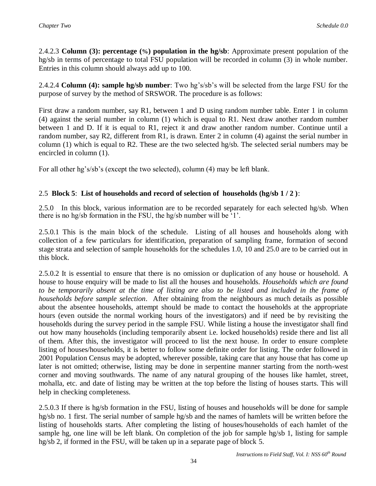2.4.2.3 **Column (3): percentage (%) population in the hg/sb**: Approximate present population of the hg/sb in terms of percentage to total FSU population will be recorded in column (3) in whole number. Entries in this column should always add up to 100.

2.4.2.4 **Column (4): sample hg/sb number**: Two hg's/sb's will be selected from the large FSU for the purpose of survey by the method of SRSWOR. The procedure is as follows:

First draw a random number, say R1, between 1 and D using random number table. Enter 1 in column (4) against the serial number in column (1) which is equal to R1. Next draw another random number between 1 and D. If it is equal to R1, reject it and draw another random number. Continue until a random number, say R2, different from R1, is drawn. Enter 2 in column (4) against the serial number in column (1) which is equal to R2. These are the two selected hg/sb. The selected serial numbers may be encircled in column (1).

For all other hg's/sb's (except the two selected), column (4) may be left blank.

## 2.5 **Block 5**: **List of households and record of selection of households (hg/sb 1 / 2 )**:

2.5.0 In this block, various information are to be recorded separately for each selected hg/sb. When there is no hg/sb formation in the FSU, the hg/sb number will be '1'.

2.5.0.1 This is the main block of the schedule. Listing of all houses and households along with collection of a few particulars for identification, preparation of sampling frame, formation of second stage strata and selection of sample households for the schedules 1.0, 10 and 25.0 are to be carried out in this block.

2.5.0.2 It is essential to ensure that there is no omission or duplication of any house or household. A house to house enquiry will be made to list all the houses and households. *Households which are found*  to be temporarily absent at the time of listing are also to be listed and included in the frame of *households before sample selection*. After obtaining from the neighbours as much details as possible about the absentee households, attempt should be made to contact the households at the appropriate hours (even outside the normal working hours of the investigators) and if need be by revisiting the households during the survey period in the sample FSU. While listing a house the investigator shall find out how many households (including temporarily absent i.e. locked households) reside there and list all of them. After this, the investigator will proceed to list the next house. In order to ensure complete listing of houses/households, it is better to follow some definite order for listing. The order followed in 2001 Population Census may be adopted, wherever possible, taking care that any house that has come up later is not omitted; otherwise, listing may be done in serpentine manner starting from the north-west corner and moving southwards. The name of any natural grouping of the houses like hamlet, street, mohalla, etc. and date of listing may be written at the top before the listing of houses starts. This will help in checking completeness.

2.5.0.3 If there is hg/sb formation in the FSU, listing of houses and households will be done for sample hg/sb no. 1 first. The serial number of sample hg/sb and the names of hamlets will be written before the listing of households starts. After completing the listing of houses/households of each hamlet of the sample hg, one line will be left blank. On completion of the job for sample hg/sb 1, listing for sample hg/sb 2, if formed in the FSU, will be taken up in a separate page of block 5.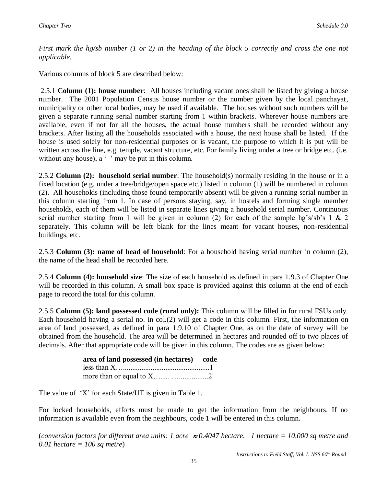*First mark the hg/sb number (1 or 2) in the heading of the block 5 correctly and cross the one not applicable.* 

Various columns of block 5 are described below:

2.5.1 **Column (1): house number**: All houses including vacant ones shall be listed by giving a house number. The 2001 Population Census house number or the number given by the local panchayat, municipality or other local bodies, may be used if available. The houses without such numbers will be given a separate running serial number starting from 1 within brackets. Wherever house numbers are available, even if not for all the houses, the actual house numbers shall be recorded without any brackets. After listing all the households associated with a house, the next house shall be listed. If the house is used solely for non-residential purposes or is vacant, the purpose to which it is put will be written across the line, e.g. temple, vacant structure, etc. For family living under a tree or bridge etc. (i.e. without any house),  $a'$ –' may be put in this column.

2.5.2 **Column (2): household serial number**: The household(s) normally residing in the house or in a fixed location (e.g. under a tree/bridge/open space etc.) listed in column (1) will be numbered in column (2). All households (including those found temporarily absent) will be given a running serial number in this column starting from 1. In case of persons staying, say, in hostels and forming single member households, each of them will be listed in separate lines giving a household serial number. Continuous serial number starting from 1 will be given in column (2) for each of the sample hg's/sb's 1 & 2 separately. This column will be left blank for the lines meant for vacant houses, non-residential buildings, etc.

2.5.3 **Column (3): name of head of household**: For a household having serial number in column (2), the name of the head shall be recorded here.

2.5.4 **Column (4): household size**: The size of each household as defined in para 1.9.3 of Chapter One will be recorded in this column. A small box space is provided against this column at the end of each page to record the total for this column.

2.5.5 **Column (5): land possessed code (rural only):** This column will be filled in for rural FSUs only. Each household having a serial no. in col.(2) will get a code in this column. First, the information on area of land possessed, as defined in para 1.9.10 of Chapter One, as on the date of survey will be obtained from the household. The area will be determined in hectares and rounded off to two places of decimals. After that appropriate code will be given in this column. The codes are as given below:

| area of land possessed (in hectares) code |  |
|-------------------------------------------|--|
|                                           |  |
|                                           |  |

The value of 'X' for each State/UT is given in Table 1.

For locked households, efforts must be made to get the information from the neighbours. If no information is available even from the neighbours, code 1 will be entered in this column.

(*conversion factors for different area units: 1 acre 0.4047 hectare, 1 hectare = 10,000 sq metre and 0.01 hectare = 100 sq metre*)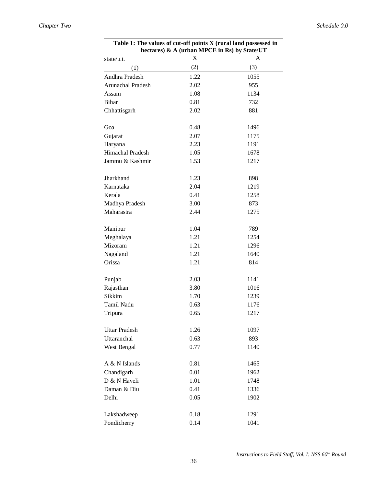| <b>Table 1: The values of cut-off points A (rural land possessed in</b><br>hectares) & A (urban MPCE in Rs) by State/UT |      |      |  |  |  |  |  |  |  |
|-------------------------------------------------------------------------------------------------------------------------|------|------|--|--|--|--|--|--|--|
| state/u.t.                                                                                                              | X    | A    |  |  |  |  |  |  |  |
| (1)                                                                                                                     | (2)  | (3)  |  |  |  |  |  |  |  |
| Andhra Pradesh                                                                                                          | 1.22 | 1055 |  |  |  |  |  |  |  |
| Arunachal Pradesh                                                                                                       | 2.02 | 955  |  |  |  |  |  |  |  |
| Assam                                                                                                                   | 1.08 | 1134 |  |  |  |  |  |  |  |
| Bihar                                                                                                                   | 0.81 | 732  |  |  |  |  |  |  |  |
| Chhattisgarh                                                                                                            | 2.02 | 881  |  |  |  |  |  |  |  |
| Goa                                                                                                                     | 0.48 | 1496 |  |  |  |  |  |  |  |
| Gujarat                                                                                                                 | 2.07 | 1175 |  |  |  |  |  |  |  |
| Haryana                                                                                                                 | 2.23 | 1191 |  |  |  |  |  |  |  |
| Himachal Pradesh                                                                                                        | 1.05 | 1678 |  |  |  |  |  |  |  |
| Jammu & Kashmir                                                                                                         | 1.53 | 1217 |  |  |  |  |  |  |  |
| Jharkhand                                                                                                               | 1.23 | 898  |  |  |  |  |  |  |  |
| Karnataka                                                                                                               | 2.04 | 1219 |  |  |  |  |  |  |  |
| Kerala                                                                                                                  | 0.41 | 1258 |  |  |  |  |  |  |  |
| Madhya Pradesh                                                                                                          | 3.00 | 873  |  |  |  |  |  |  |  |
| Maharastra                                                                                                              | 2.44 | 1275 |  |  |  |  |  |  |  |
| Manipur                                                                                                                 | 1.04 | 789  |  |  |  |  |  |  |  |
| Meghalaya                                                                                                               | 1.21 | 1254 |  |  |  |  |  |  |  |
| Mizoram                                                                                                                 | 1.21 | 1296 |  |  |  |  |  |  |  |
| Nagaland                                                                                                                | 1.21 | 1640 |  |  |  |  |  |  |  |
| Orissa                                                                                                                  | 1.21 | 814  |  |  |  |  |  |  |  |
| Punjab                                                                                                                  | 2.03 | 1141 |  |  |  |  |  |  |  |
| Rajasthan                                                                                                               | 3.80 | 1016 |  |  |  |  |  |  |  |
| Sikkim                                                                                                                  | 1.70 | 1239 |  |  |  |  |  |  |  |
| Tamil Nadu                                                                                                              | 0.63 | 1176 |  |  |  |  |  |  |  |
| Tripura                                                                                                                 | 0.65 | 1217 |  |  |  |  |  |  |  |
| <b>Uttar Pradesh</b>                                                                                                    | 1.26 | 1097 |  |  |  |  |  |  |  |
| Uttaranchal                                                                                                             | 0.63 | 893  |  |  |  |  |  |  |  |
| West Bengal                                                                                                             | 0.77 | 1140 |  |  |  |  |  |  |  |
| A & N Islands                                                                                                           | 0.81 | 1465 |  |  |  |  |  |  |  |
| Chandigarh                                                                                                              | 0.01 | 1962 |  |  |  |  |  |  |  |
| D & N Haveli                                                                                                            | 1.01 | 1748 |  |  |  |  |  |  |  |
| Daman & Diu                                                                                                             | 0.41 | 1336 |  |  |  |  |  |  |  |
| Delhi                                                                                                                   | 0.05 | 1902 |  |  |  |  |  |  |  |
| Lakshadweep                                                                                                             | 0.18 | 1291 |  |  |  |  |  |  |  |
| Pondicherry                                                                                                             | 0.14 | 1041 |  |  |  |  |  |  |  |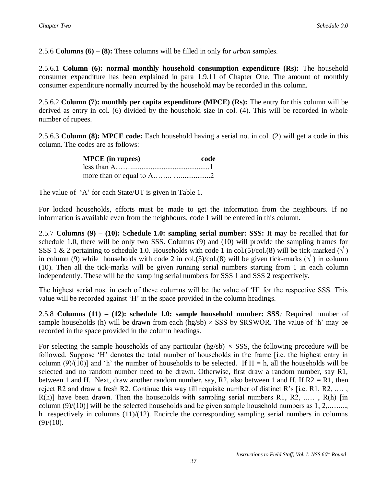2.5.6 **Columns (6) – (8):** These columns will be filled in only for *urban* samples.

2.5.6.1 **Column (6): normal monthly household consumption expenditure (Rs):** The household consumer expenditure has been explained in para 1.9.11 of Chapter One. The amount of monthly consumer expenditure normally incurred by the household may be recorded in this column.

2.5.6.2 **Column (7): monthly per capita expenditure (MPCE) (Rs):** The entry for this column will be derived as entry in col. (6) divided by the household size in col. (4). This will be recorded in whole number of rupees.

2.5.6.3 **Column (8): MPCE code:** Each household having a serial no. in col. (2) will get a code in this column. The codes are as follows:

| <b>MPCE</b> (in rupees) | code |
|-------------------------|------|
|                         |      |
|                         |      |

The value of 'A' for each State/UT is given in Table 1.

For locked households, efforts must be made to get the information from the neighbours. If no information is available even from the neighbours, code 1 will be entered in this column.

2.5.7 **Columns (9) – (10):** S**chedule 1.0: sampling serial number: SSS:** It may be recalled that for schedule 1.0, there will be only two SSS. Columns (9) and (10) will provide the sampling frames for SSS 1 & 2 pertaining to schedule 1.0. Households with code 1 in col.(5)/col.(8) will be tick-marked ( $\sqrt{}$ ) in column (9) while households with code 2 in col.(5)/col.(8) will be given tick-marks ( $\sqrt{}$ ) in column (10). Then all the tick-marks will be given running serial numbers starting from 1 in each column independently. These will be the sampling serial numbers for SSS 1 and SSS 2 respectively.

The highest serial nos. in each of these columns will be the value of 'H' for the respective SSS. This value will be recorded against 'H' in the space provided in the column headings.

2.5.8 **Columns (11) – (12): schedule 1.0: sample household number: SSS***:* Required number of sample households (h) will be drawn from each (hg/sb)  $\times$  SSS by SRSWOR. The value of 'h' may be recorded in the space provided in the column headings.

For selecting the sample households of any particular (hg/sb)  $\times$  SSS, the following procedure will be followed. Suppose 'H' denotes the total number of households in the frame [i.e. the highest entry in column (9)/(10)] and 'h' the number of households to be selected. If  $H = h$ , all the households will be selected and no random number need to be drawn. Otherwise, first draw a random number, say R1, between 1 and H. Next, draw another random number, say, R2, also between 1 and H. If  $R2 = R1$ , then reject R2 and draw a fresh R2. Continue this way till requisite number of distinct R's [i.e. R1, R2,  $\dots$ ,  $R(h)$ ] have been drawn. Then the households with sampling serial numbers R1, R2, ...., R(h) [in] column  $(9)/(10)$ ] will be the selected households and be given sample household numbers as 1, 2,......... h respectively in columns (11)/(12). Encircle the corresponding sampling serial numbers in columns  $(9)/(10)$ .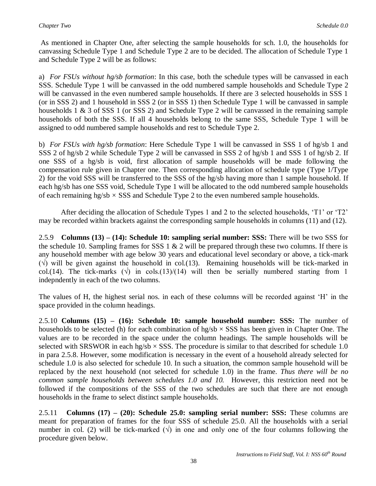As mentioned in Chapter One, after selecting the sample households for sch. 1.0, the households for canvassing Schedule Type 1 and Schedule Type 2 are to be decided. The allocation of Schedule Type 1 and Schedule Type 2 will be as follows:

a) *For FSUs without hg/sb formation*: In this case, both the schedule types will be canvassed in each SSS. Schedule Type 1 will be canvassed in the odd numbered sample households and Schedule Type 2 will be canvassed in the even numbered sample households. If there are 3 selected households in SSS 1 (or in SSS 2) and 1 household in SSS 2 (or in SSS 1) then Schedule Type 1 will be canvassed in sample households 1 & 3 of SSS 1 (or SSS 2) and Schedule Type 2 will be canvassed in the remaining sample households of both the SSS. If all 4 households belong to the same SSS, Schedule Type 1 will be assigned to odd numbered sample households and rest to Schedule Type 2.

b) *For FSUs with hg/sb formation*: Here Schedule Type 1 will be canvassed in SSS 1 of hg/sb 1 and SSS 2 of hg/sb 2 while Schedule Type 2 will be canvassed in SSS 2 of hg/sb 1 and SSS 1 of hg/sb 2. If one SSS of a hg/sb is void, first allocation of sample households will be made following the compensation rule given in Chapter one. Then corresponding allocation of schedule type (Type 1/Type 2) for the void SSS will be transferred to the SSS of the hg/sb having more than 1 sample household. If each hg/sb has one SSS void, Schedule Type 1 will be allocated to the odd numbered sample households of each remaining hg/sb *×* SSS and Schedule Type 2 to the even numbered sample households.

After deciding the allocation of Schedule Types 1 and 2 to the selected households, 'T1' or 'T2' may be recorded within brackets against the corresponding sample households in columns (11) and (12).

2.5.9 **Columns (13) – (14): Schedule 10: sampling serial number: SSS:** There will be two SSS for the schedule 10. Sampling frames for SSS 1  $\&$  2 will be prepared through these two columns. If there is any household member with age below 30 years and educational level secondary or above, a tick-mark  $(\sqrt{})$  will be given against the household in col.(13). Remaining households will be tick-marked in col.(14). The tick-marks  $(\sqrt{\ } )$  in cols.(13)/(14) will then be serially numbered starting from 1 indepndently in each of the two columns.

The values of H, the highest serial nos. in each of these columns will be recorded against 'H' in the space provided in the column headings.

2.5.10 **Columns (15) – (16):** S**chedule 10: sample household number: SSS:** The number of households to be selected (h) for each combination of  $hg/b \times SSS$  has been given in Chapter One. The values are to be recorded in the space under the column headings. The sample households will be selected with SRSWOR in each hg/sb  $\times$  SSS. The procedure is similar to that described for schedule 1.0 in para 2.5.8. However, some modification is necessary in the event of a household already selected for schedule 1.0 is also selected for schedule 10. In such a situation, the common sample household will be replaced by the next household (not selected for schedule 1.0) in the frame. *Thus there will be no common sample households between schedules 1.0 and 10.* However, this restriction need not be followed if the compositions of the SSS of the two schedules are such that there are not enough households in the frame to select distinct sample households.

2.5.11 **Columns (17) – (20): Schedule 25.0: sampling serial number: SSS:** These columns are meant for preparation of frames for the four SSS of schedule 25.0. All the households with a serial number in col. (2) will be tick-marked  $(\sqrt{)}$  in one and only one of the four columns following the procedure given below.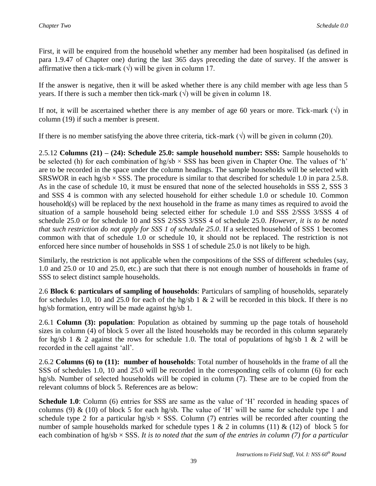First, it will be enquired from the household whether any member had been hospitalised (as defined in para 1.9.47 of Chapter one) during the last 365 days preceding the date of survey. If the answer is affirmative then a tick-mark  $(\forall)$  will be given in column 17.

If the answer is negative, then it will be asked whether there is any child member with age less than 5 years. If there is such a member then tick-mark  $(\forall)$  will be given in column 18.

If not, it will be ascertained whether there is any member of age 60 years or more. Tick-mark  $(\vee)$  in column (19) if such a member is present.

If there is no member satisfying the above three criteria, tick-mark  $(\sqrt{})$  will be given in column (20).

2.5.12 **Columns (21) – (24): Schedule 25.0: sample household number: SSS:** Sample households to be selected (h) for each combination of hg/sb  $\times$  SSS has been given in Chapter One. The values of 'h' are to be recorded in the space under the column headings. The sample households will be selected with SRSWOR in each hg/sb  $\times$  SSS. The procedure is similar to that described for schedule 1.0 in para 2.5.8. As in the case of schedule 10, it must be ensured that none of the selected households in SSS 2, SSS 3 and SSS 4 is common with any selected household for either schedule 1.0 or schedule 10. Common household(s) will be replaced by the next household in the frame as many times as required to avoid the situation of a sample household being selected either for schedule 1.0 and SSS 2/SSS 3/SSS 4 of schedule 25.0 or for schedule 10 and SSS 2/SSS 3/SSS 4 of schedule 25.0. *However, it is to be noted that such restriction do not apply for SSS 1 of schedule 25.0*. If a selected household of SSS 1 becomes common with that of schedule 1.0 or schedule 10, it should not be replaced. The restriction is not enforced here since number of households in SSS 1 of schedule 25.0 is not likely to be high.

Similarly, the restriction is not applicable when the compositions of the SSS of different schedules (say, 1.0 and 25.0 or 10 and 25.0, etc.) are such that there is not enough number of households in frame of SSS to select distinct sample households.

2.6 **Block 6**: **particulars of sampling of households**: Particulars of sampling of households, separately for schedules 1.0, 10 and 25.0 for each of the hg/sb 1  $\&$  2 will be recorded in this block. If there is no hg/sb formation, entry will be made against hg/sb 1.

2.6.1 **Column (3): population**: Population as obtained by summing up the page totals of household sizes in column (4) of block 5 over all the listed households may be recorded in this column separately for hg/sb 1 & 2 against the rows for schedule 1.0. The total of populations of hg/sb 1 & 2 will be recorded in the cell against 'all'.

2.6.2 **Columns (6) to (11): number of households**: Total number of households in the frame of all the SSS of schedules 1.0, 10 and 25.0 will be recorded in the corresponding cells of column (6) for each hg/sb. Number of selected households will be copied in column (7). These are to be copied from the relevant columns of block 5. References are as below:

**Schedule 1.0**: Column (6) entries for SSS are same as the value of 'H' recorded in heading spaces of columns (9) & (10) of block 5 for each hg/sb. The value of 'H' will be same for schedule type 1 and schedule type 2 for a particular hg/sb  $\times$  SSS. Column (7) entries will be recorded after counting the number of sample households marked for schedule types  $1 \& 2$  in columns (11)  $\&$  (12) of block 5 for each combination of hg/sb  $\times$  SSS. It is to noted that the sum of the entries in column (7) for a particular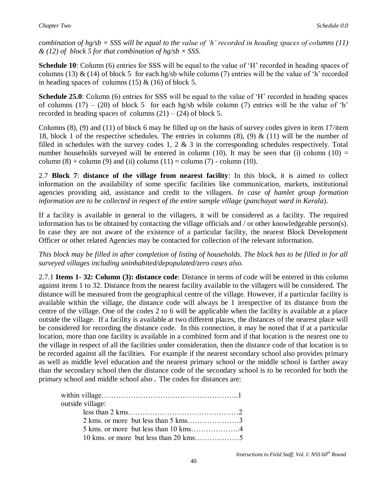*combination of hg/sb × SSS will be equal to the value of 'h' recorded in heading spaces of columns (11) & (12) of block 5 for that combination of hg/sb × SSS*.

**Schedule 10**: Column (6) entries for SSS will be equal to the value of 'H' recorded in heading spaces of columns (13)  $\&$  (14) of block 5 for each hg/sb while column (7) entries will be the value of 'h' recorded in heading spaces of columns (15)  $\&$  (16) of block 5.

**Schedule 25.0**: Column (6) entries for SSS will be equal to the value of 'H' recorded in heading spaces of columns (17) – (20) of block 5 for each hg/sb while column (7) entries will be the value of 'h' recorded in heading spaces of columns  $(21) - (24)$  of block 5.

Columns (8), (9) and (11) of block 6 may be filled up on the basis of survey codes given in item 17/item 18, block 1 of the respective schedules. The entries in columns  $(8)$ ,  $(9)$  &  $(11)$  will be the number of filled in schedules with the survey codes 1, 2  $\&$  3 in the corresponding schedules respectively. Total number households surveyed will be entered in column (10). It may be seen that (i) column (10) = column  $(8)$  + column  $(9)$  and  $(ii)$  column  $(11)$  = column  $(7)$  - column  $(10)$ .

2.7 **Block 7**: **distance of the village from nearest facility**: In this block, it is aimed to collect information on the availability of some specific facilities like communication, markets, institutional agencies providing aid, assistance and credit to the villagers. *In case of hamlet group formation information are to be collected in respect of the entire sample village* (*panchayat ward in Kerala*).

If a facility is available in general to the villagers, it will be considered as a facility. The required information has to be obtained by contacting the village officials and / or other knowledgeable person(s). In case they are not aware of the existence of a particular facility, the nearest Block Development Officer or other related Agencies may be contacted for collection of the relevant information.

*This block may be filled in after completion of listing of households. The block has to be filled in for all surveyed villages including uninhabited/depopulated/zero cases also.*

2.7.1 **Items 1- 32: Column (3): distance code**: Distance in terms of code will be entered in this column against items 1 to 32. Distance from the nearest facility available to the villagers will be considered. The distance will be measured from the geographical centre of the village. However, if a particular facility is available within the village, the distance code will always be 1 irrespective of its distance from the centre of the village. One of the codes 2 to 6 will be applicable when the facility is available at a place outside the village. If a facility is available at two different places, the distances of the nearest place will be considered for recording the distance code. In this connection, it may be noted that if at a particular location, more than one facility is available in a combined form and if that location is the nearest one to the village in respect of all the facilities under consideration, then the distance code of that location is to be recorded against all the facilities. For example if the nearest secondary school also provides primary as well as middle level education and the nearest primary school or the middle school is farther away than the secondary school then the distance code of the secondary school is to be recorded for both the primary school and middle school also. The codes for distances are:

| outside village: |  |
|------------------|--|
|                  |  |
|                  |  |
|                  |  |
|                  |  |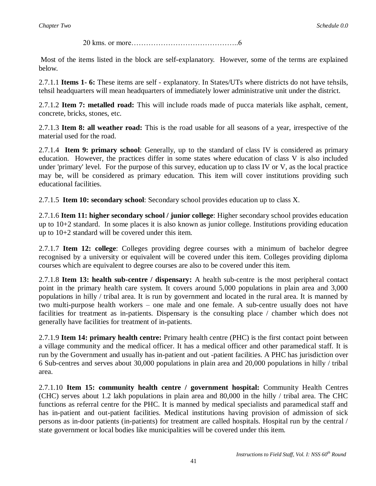20 kms. or more……………………………………..6

Most of the items listed in the block are self-explanatory. However, some of the terms are explained below.

2.7.1.1 **Items 1- 6:** These items are self - explanatory. In States/UTs where districts do not have tehsils, tehsil headquarters will mean headquarters of immediately lower administrative unit under the district.

2.7.1.2 **Item 7: metalled road:** This will include roads made of pucca materials like asphalt, cement, concrete, bricks, stones, etc.

2.7.1.3 **Item 8: all weather road:** This is the road usable for all seasons of a year, irrespective of the material used for the road.

2.7.1.4 **Item 9: primary school**: Generally, up to the standard of class IV is considered as primary education. However, the practices differ in some states where education of class V is also included under 'primary' level. For the purpose of this survey, education up to class IV or V, as the local practice may be, will be considered as primary education. This item will cover institutions providing such educational facilities.

2.7.1.5 **Item 10: secondary school**: Secondary school provides education up to class X.

2.7.1.6 **Item 11: higher secondary school / junior college**: Higher secondary school provides education up to 10+2 standard. In some places it is also known as junior college. Institutions providing education up to 10+2 standard will be covered under this item.

2.7.1.7 **Item 12: college**: Colleges providing degree courses with a minimum of bachelor degree recognised by a university or equivalent will be covered under this item. Colleges providing diploma courses which are equivalent to degree courses are also to be covered under this item.

2.7.1.8 **Item 13: health sub-centre / dispensary:** A health sub-centre is the most peripheral contact point in the primary health care system. It covers around 5,000 populations in plain area and 3,000 populations in hilly / tribal area. It is run by government and located in the rural area. It is manned by two multi-purpose health workers – one male and one female. A sub-centre usually does not have facilities for treatment as in-patients. Dispensary is the consulting place / chamber which does not generally have facilities for treatment of in-patients.

2.7.1.9 **Item 14: primary health centre:** Primary health centre (PHC) is the first contact point between a village community and the medical officer. It has a medical officer and other paramedical staff. It is run by the Government and usually has in-patient and out -patient facilities. A PHC has jurisdiction over 6 Sub-centres and serves about 30,000 populations in plain area and 20,000 populations in hilly / tribal area.

2.7.1.10 **Item 15: community health centre / government hospital:** Community Health Centres (CHC) serves about 1.2 lakh populations in plain area and 80,000 in the hilly / tribal area. The CHC functions as referral centre for the PHC. It is manned by medical specialists and paramedical staff and has in-patient and out-patient facilities. Medical institutions having provision of admission of sick persons as in-door patients (in-patients) for treatment are called hospitals. Hospital run by the central / state government or local bodies like municipalities will be covered under this item.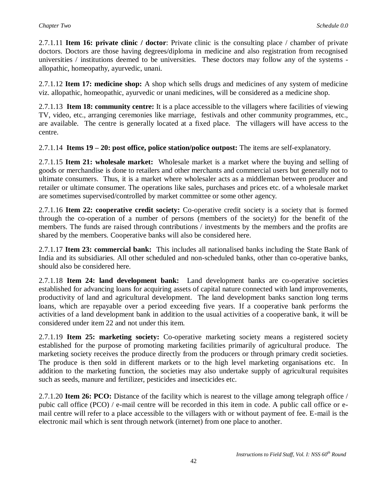2.7.1.11 **Item 16: private clinic / doctor**: Private clinic is the consulting place / chamber of private doctors. Doctors are those having degrees/diploma in medicine and also registration from recognised universities / institutions deemed to be universities. These doctors may follow any of the systems allopathic, homeopathy, ayurvedic, unani.

2.7.1.12 **Item 17: medicine shop:** A shop which sells drugs and medicines of any system of medicine viz. allopathic, homeopathic, ayurvedic or unani medicines, will be considered as a medicine shop.

2.7.1.13 **Item 18: community centre:** It is a place accessible to the villagers where facilities of viewing TV, video, etc., arranging ceremonies like marriage, festivals and other community programmes, etc., are available. The centre is generally located at a fixed place. The villagers will have access to the centre.

2.7.1.14 **Items 19 – 20: post office, police station/police outpost:** The items are self-explanatory.

2.7.1.15 **Item 21: wholesale market:** Wholesale market is a market where the buying and selling of goods or merchandise is done to retailers and other merchants and commercial users but generally not to ultimate consumers. Thus, it is a market where wholesaler acts as a middleman between producer and retailer or ultimate consumer. The operations like sales, purchases and prices etc. of a wholesale market are sometimes supervised/controlled by market committee or some other agency.

2.7.1.16 **Item 22: cooperative credit society:** Co-operative credit society is a society that is formed through the co-operation of a number of persons (members of the society) for the benefit of the members. The funds are raised through contributions / investments by the members and the profits are shared by the members. Cooperative banks will also be considered here.

2.7.1.17 **Item 23: commercial bank:** This includes all nationalised banks including the State Bank of India and its subsidiaries. All other scheduled and non-scheduled banks, other than co-operative banks, should also be considered here.

2.7.1.18 **Item 24: land development bank:** Land development banks are co-operative societies established for advancing loans for acquiring assets of capital nature connected with land improvements, productivity of land and agricultural development. The land development banks sanction long terms loans, which are repayable over a period exceeding five years. If a cooperative bank performs the activities of a land development bank in addition to the usual activities of a cooperative bank, it will be considered under item 22 and not under this item.

2.7.1.19 **Item 25: marketing society:** Co-operative marketing society means a registered society established for the purpose of promoting marketing facilities primarily of agricultural produce. The marketing society receives the produce directly from the producers or through primary credit societies. The produce is then sold in different markets or to the high level marketing organisations etc. In addition to the marketing function, the societies may also undertake supply of agricultural requisites such as seeds, manure and fertilizer, pesticides and insecticides etc.

2.7.1.20 **Item 26: PCO:** Distance of the facility which is nearest to the village among telegraph office / pubic call office (PCO) / e-mail centre will be recorded in this item in code. A public call office or email centre will refer to a place accessible to the villagers with or without payment of fee. E-mail is the electronic mail which is sent through network (internet) from one place to another.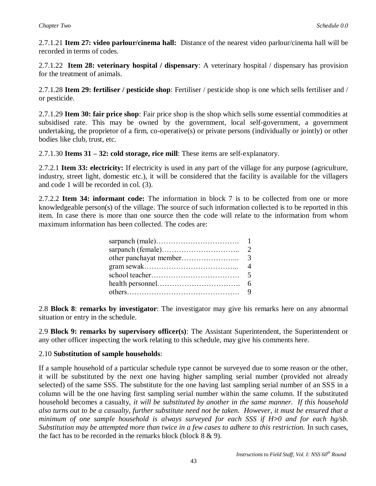2.7.1.21 **Item 27: video parlour/cinema hall:** Distance of the nearest video parlour/cinema hall will be recorded in terms of codes.

2.7.1.22 **Item 28: veterinary hospital / dispensary**: A veterinary hospital / dispensary has provision for the treatment of animals.

2.7.1.28 **Item 29: fertiliser / pesticide shop**: Fertiliser / pesticide shop is one which sells fertiliser and / or pesticide.

2.7.1.29 **Item 30: fair price shop**: Fair price shop is the shop which sells some essential commodities at subsidised rate. This may be owned by the government, local self-government, a government undertaking, the proprietor of a firm, co-operative(s) or private persons (individually or jointly) or other bodies like club, trust, etc.

2.7.1.30 **Items 31 – 32: cold storage, rice mill**: These items are self-explanatory.

2.7.2.1 **Item 33: electricity:** If electricity is used in any part of the village for any purpose (agriculture, industry, street light, domestic etc.), it will be considered that the facility is available for the villagers and code 1 will be recorded in col. (3).

2.7.2.2 **Item 34: informant code:** The information in block 7 is to be collected from one or more knowledgeable person(s) of the village. The source of such information collected is to be reported in this item. In case there is more than one source then the code will relate to the information from whom maximum information has been collected. The codes are:

| $\mathcal{D}_{\mathcal{L}}$ |  |
|-----------------------------|--|
|                             |  |
| 4                           |  |
|                             |  |
| 6                           |  |
|                             |  |

2.8 **Block 8**: **remarks by investigator**: The investigator may give his remarks here on any abnormal situation or entry in the schedule.

2.9 **Block 9: remarks by supervisory officer(s)**: The Assistant Superintendent, the Superintendent or any other officer inspecting the work relating to this schedule, may give his comments here.

### 2.10 **Substitution of sample households**:

If a sample household of a particular schedule type cannot be surveyed due to some reason or the other, it will be substituted by the next one having higher sampling serial number (provided not already selected) of the same SSS. The substitute for the one having last sampling serial number of an SSS in a column will be the one having first sampling serial number within the same column. If the substituted household becomes a casualty, *it will be substituted by another in the same manner. If this household also turns out to be a casualty, further substitute need not be taken. However, it must be ensured that a minimum of one sample household is always surveyed for each SSS if H>0 and for each hg/sb. Substitution may be attempted more than twice in a few cases to adhere to this restriction.* In such cases, the fact has to be recorded in the remarks block (block  $8 \& 9$ ).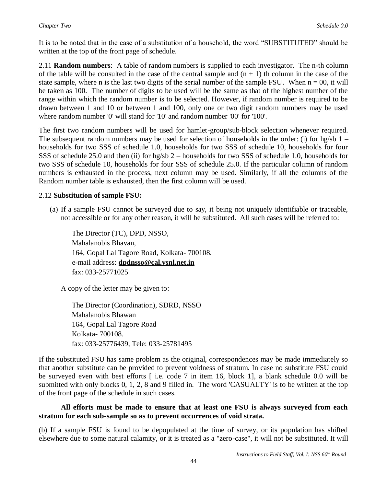It is to be noted that in the case of a substitution of a household, the word "SUBSTITUTED" should be written at the top of the front page of schedule.

2.11 **Random numbers**: A table of random numbers is supplied to each investigator. The n-th column of the table will be consulted in the case of the central sample and  $(n + 1)$  th column in the case of the state sample, where n is the last two digits of the serial number of the sample FSU. When  $n = 00$ , it will be taken as 100. The number of digits to be used will be the same as that of the highest number of the range within which the random number is to be selected. However, if random number is required to be drawn between 1 and 10 or between 1 and 100, only one or two digit random numbers may be used where random number '0' will stand for '10' and random number '00' for '100'.

The first two random numbers will be used for hamlet-group/sub-block selection whenever required. The subsequent random numbers may be used for selection of households in the order: (i) for hg/sb  $1$ households for two SSS of schedule 1.0, households for two SSS of schedule 10, households for four SSS of schedule 25.0 and then (ii) for hg/sb 2 – households for two SSS of schedule 1.0, households for two SSS of schedule 10, households for four SSS of schedule 25.0. If the particular column of random numbers is exhausted in the process, next column may be used. Similarly, if all the columns of the Random number table is exhausted, then the first column will be used.

### 2.12 **Substitution of sample FSU:**

(a) If a sample FSU cannot be surveyed due to say, it being not uniquely identifiable or traceable, not accessible or for any other reason, it will be substituted. All such cases will be referred to:

The Director (TC), DPD, NSSO, Mahalanobis Bhavan, 164, Gopal Lal Tagore Road, Kolkata- 700108. e-mail address: **[dpdnsso@cal.vsnl.net.in](mailto:dpdnsso@cal.vsnl.net.in)** fax: 033-25771025

A copy of the letter may be given to:

The Director (Coordination), SDRD, NSSO Mahalanobis Bhawan 164, Gopal Lal Tagore Road Kolkata- 700108. fax: 033-25776439, Tele: 033-25781495

If the substituted FSU has same problem as the original, correspondences may be made immediately so that another substitute can be provided to prevent voidness of stratum. In case no substitute FSU could be surveyed even with best efforts [ i.e. code 7 in item 16, block 1], a blank schedule 0.0 will be submitted with only blocks 0, 1, 2, 8 and 9 filled in. The word 'CASUALTY' is to be written at the top of the front page of the schedule in such cases.

### **All efforts must be made to ensure that at least one FSU is always surveyed from each stratum for each sub-sample so as to prevent occurrences of void strata.**

(b) If a sample FSU is found to be depopulated at the time of survey, or its population has shifted elsewhere due to some natural calamity, or it is treated as a "zero-case", it will not be substituted. It will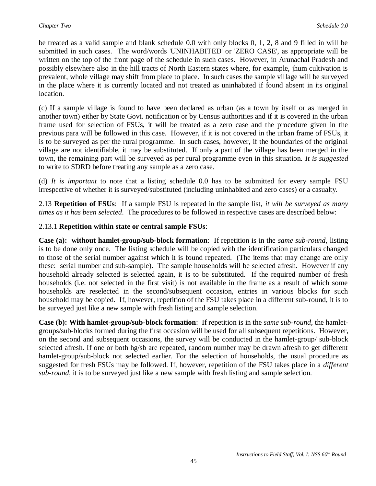be treated as a valid sample and blank schedule 0.0 with only blocks 0, 1, 2, 8 and 9 filled in will be submitted in such cases. The word/words 'UNINHABITED' or 'ZERO CASE', as appropriate will be written on the top of the front page of the schedule in such cases. However, in Arunachal Pradesh and possibly elsewhere also in the hill tracts of North Eastern states where, for example, jhum cultivation is prevalent, whole village may shift from place to place. In such cases the sample village will be surveyed in the place where it is currently located and not treated as uninhabited if found absent in its original location.

(c) If a sample village is found to have been declared as urban (as a town by itself or as merged in another town) either by State Govt. notification or by Census authorities and if it is covered in the urban frame used for selection of FSUs, it will be treated as a zero case and the procedure given in the previous para will be followed in this case. However, if it is not covered in the urban frame of FSUs, it is to be surveyed as per the rural programme. In such cases, however, if the boundaries of the original village are not identifiable, it may be substituted. If only a part of the village has been merged in the town, the remaining part will be surveyed as per rural programme even in this situation. *It is suggested*  to write to SDRD before treating any sample as a zero case.

(d) *It is important* to note that a listing schedule 0.0 has to be submitted for every sample FSU irrespective of whether it is surveyed/substituted (including uninhabited and zero cases) or a casualty.

2.13 **Repetition of FSUs**: If a sample FSU is repeated in the sample list, *it will be surveyed as many times as it has been selected*. The procedures to be followed in respective cases are described below:

### 2.13.1 **Repetition within state or central sample FSUs**:

**Case (a): without hamlet-group/sub-block formation**: If repetition is in the *same sub-round*, listing is to be done only once. The listing schedule will be copied with the identification particulars changed to those of the serial number against which it is found repeated. (The items that may change are only these: serial number and sub-sample). The sample households will be selected afresh. However if any household already selected is selected again, it is to be substituted. If the required number of fresh households (i.e. not selected in the first visit) is not available in the frame as a result of which some households are reselected in the second/subsequent occasion, entries in various blocks for such household may be copied. If, however, repetition of the FSU takes place in a different sub-round, it is to be surveyed just like a new sample with fresh listing and sample selection.

**Case (b): With hamlet-group/sub-block formation**: If repetition is in the *same sub-round*, the hamletgroups/sub-blocks formed during the first occasion will be used for all subsequent repetitions. However, on the second and subsequent occasions, the survey will be conducted in the hamlet-group/ sub-block selected afresh. If one or both hg/sb are repeated, random number may be drawn afresh to get different hamlet-group/sub-block not selected earlier. For the selection of households, the usual procedure as suggested for fresh FSUs may be followed. If, however, repetition of the FSU takes place in a *different sub-round*, it is to be surveyed just like a new sample with fresh listing and sample selection.